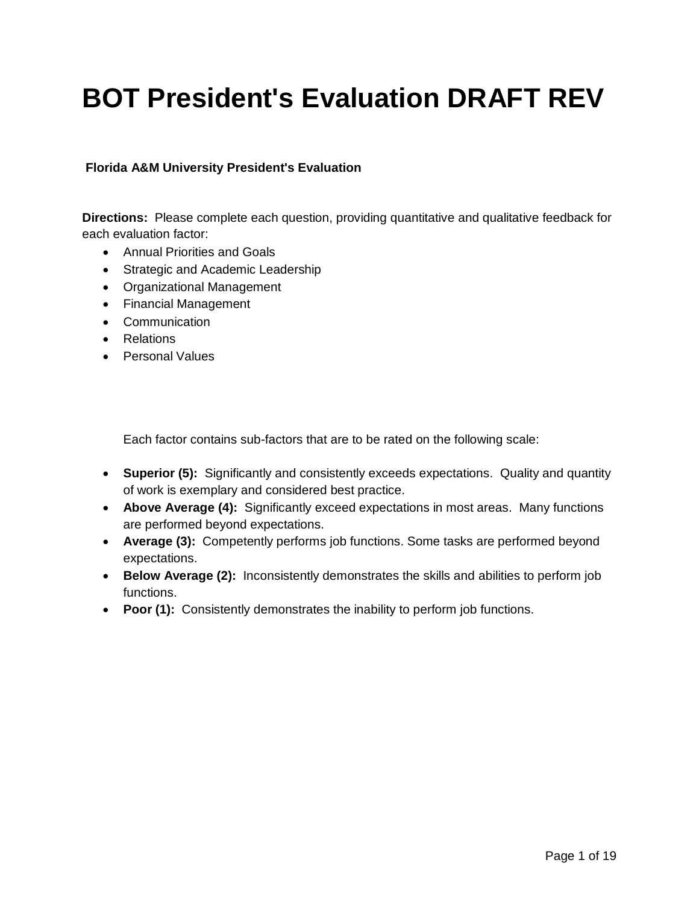# **BOT President's Evaluation DRAFT REV**

#### **Florida A&M University President's Evaluation**

**Directions:** Please complete each question, providing quantitative and qualitative feedback for each evaluation factor:

- Annual Priorities and Goals
- Strategic and Academic Leadership
- Organizational Management
- Financial Management
- Communication
- Relations
- Personal Values

Each factor contains sub-factors that are to be rated on the following scale:

- **Superior (5):** Significantly and consistently exceeds expectations. Quality and quantity of work is exemplary and considered best practice.
- **Above Average (4):** Significantly exceed expectations in most areas. Many functions are performed beyond expectations.
- **Average (3):** Competently performs job functions. Some tasks are performed beyond expectations.
- **Below Average (2):** Inconsistently demonstrates the skills and abilities to perform job functions.
- **Poor (1):** Consistently demonstrates the inability to perform job functions.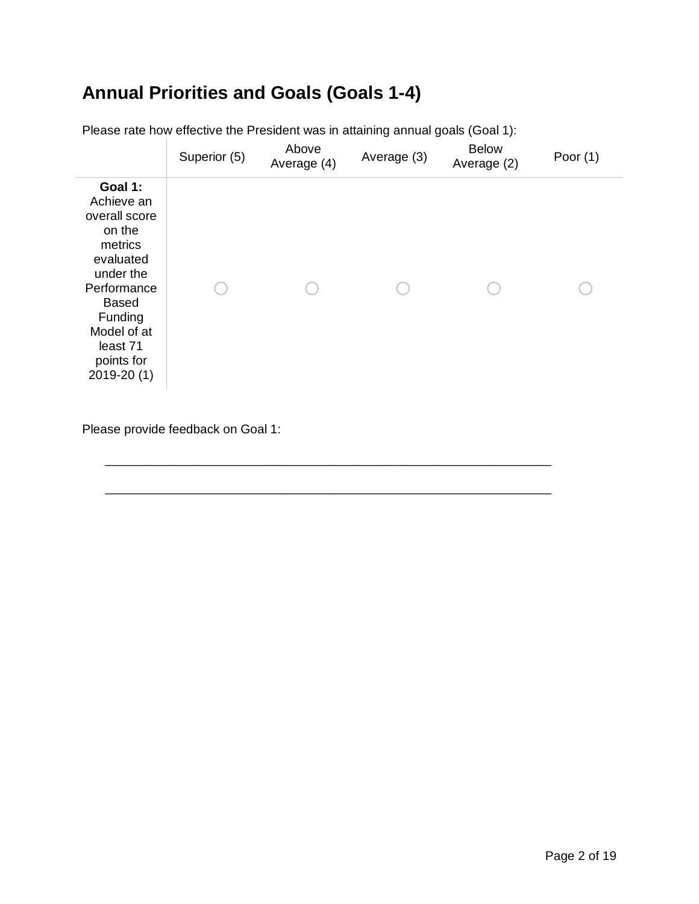## **Annual Priorities and Goals (Goals 1-4)**

|                                                                                                                                                                                         | Superior (5) | Above<br>Average (4) | Average (3) | <b>Below</b><br>Average (2) | Poor $(1)$ |
|-----------------------------------------------------------------------------------------------------------------------------------------------------------------------------------------|--------------|----------------------|-------------|-----------------------------|------------|
| Goal 1:<br>Achieve an<br>overall score<br>on the<br>metrics<br>evaluated<br>under the<br>Performance<br><b>Based</b><br>Funding<br>Model of at<br>least 71<br>points for<br>2019-20 (1) |              |                      |             |                             |            |

\_\_\_\_\_\_\_\_\_\_\_\_\_\_\_\_\_\_\_\_\_\_\_\_\_\_\_\_\_\_\_\_\_\_\_\_\_\_\_\_\_\_\_\_\_\_\_\_\_\_\_\_\_\_\_\_\_\_\_\_\_\_\_\_

\_\_\_\_\_\_\_\_\_\_\_\_\_\_\_\_\_\_\_\_\_\_\_\_\_\_\_\_\_\_\_\_\_\_\_\_\_\_\_\_\_\_\_\_\_\_\_\_\_\_\_\_\_\_\_\_\_\_\_\_\_\_\_\_

Please rate how effective the President was in attaining annual goals (Goal 1):

Please provide feedback on Goal 1: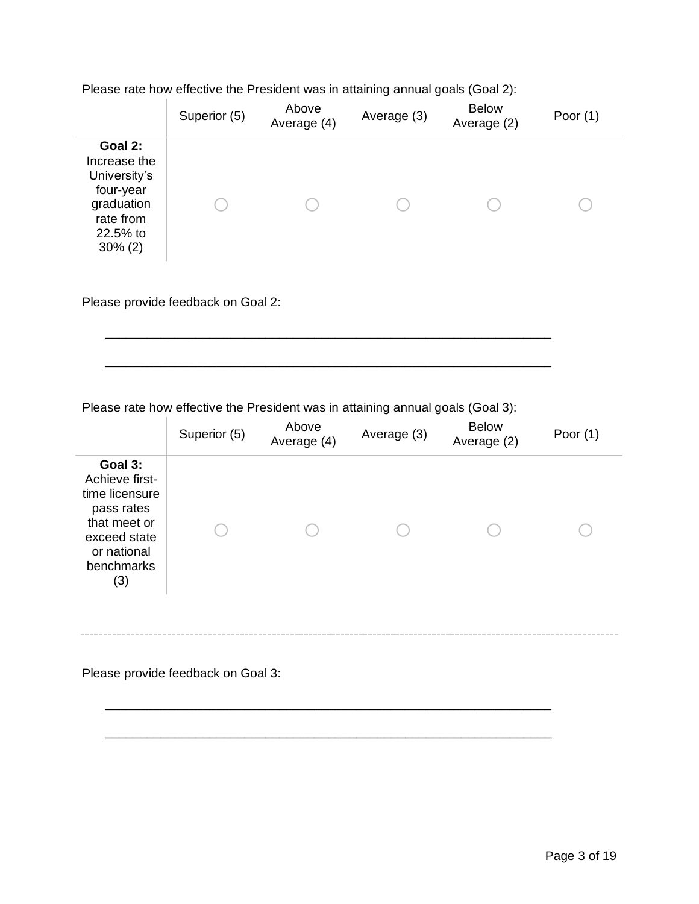Please rate how effective the President was in attaining annual goals (Goal 2):

|                                                                                                           | Superior (5) | Above<br>Average (4) | Average (3) | <b>Below</b><br>Average (2) | Poor $(1)$ |
|-----------------------------------------------------------------------------------------------------------|--------------|----------------------|-------------|-----------------------------|------------|
| Goal 2:<br>Increase the<br>University's<br>four-year<br>graduation<br>rate from<br>22.5% to<br>$30\% (2)$ |              |                      |             |                             |            |

Please provide feedback on Goal 2:

Please rate how effective the President was in attaining annual goals (Goal 3):

\_\_\_\_\_\_\_\_\_\_\_\_\_\_\_\_\_\_\_\_\_\_\_\_\_\_\_\_\_\_\_\_\_\_\_\_\_\_\_\_\_\_\_\_\_\_\_\_\_\_\_\_\_\_\_\_\_\_\_\_\_\_\_\_

\_\_\_\_\_\_\_\_\_\_\_\_\_\_\_\_\_\_\_\_\_\_\_\_\_\_\_\_\_\_\_\_\_\_\_\_\_\_\_\_\_\_\_\_\_\_\_\_\_\_\_\_\_\_\_\_\_\_\_\_\_\_\_\_

|                                                                                                                               | Superior (5) | Above<br>Average (4) | Average (3) | <b>Below</b><br>Average (2) | Poor $(1)$ |
|-------------------------------------------------------------------------------------------------------------------------------|--------------|----------------------|-------------|-----------------------------|------------|
| Goal 3:<br>Achieve first-<br>time licensure<br>pass rates<br>that meet or<br>exceed state<br>or national<br>benchmarks<br>(3) |              |                      |             |                             |            |

\_\_\_\_\_\_\_\_\_\_\_\_\_\_\_\_\_\_\_\_\_\_\_\_\_\_\_\_\_\_\_\_\_\_\_\_\_\_\_\_\_\_\_\_\_\_\_\_\_\_\_\_\_\_\_\_\_\_\_\_\_\_\_\_

\_\_\_\_\_\_\_\_\_\_\_\_\_\_\_\_\_\_\_\_\_\_\_\_\_\_\_\_\_\_\_\_\_\_\_\_\_\_\_\_\_\_\_\_\_\_\_\_\_\_\_\_\_\_\_\_\_\_\_\_\_\_\_\_

Please provide feedback on Goal 3: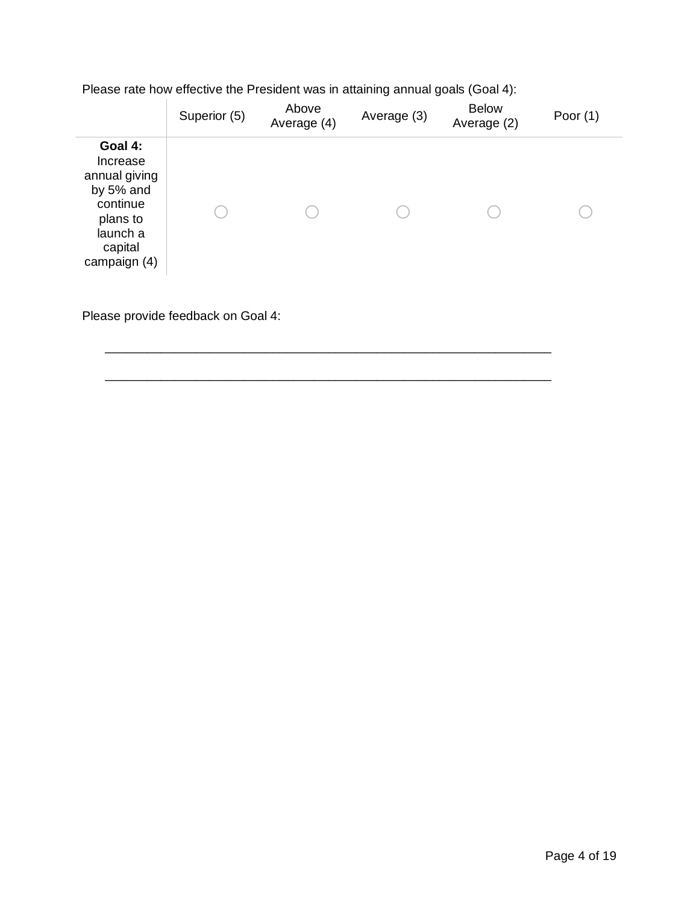| Please rate how effective the President was in attaining annual goals (Goal 4): |
|---------------------------------------------------------------------------------|
|---------------------------------------------------------------------------------|

|                                                                                                                  | Superior (5) | Above<br>Average (4) | Average (3) | <b>Below</b><br>Average (2) | Poor $(1)$ |
|------------------------------------------------------------------------------------------------------------------|--------------|----------------------|-------------|-----------------------------|------------|
| Goal 4:<br>Increase<br>annual giving<br>by 5% and<br>continue<br>plans to<br>launch a<br>capital<br>campaign (4) |              |                      |             |                             |            |

Please provide feedback on Goal 4: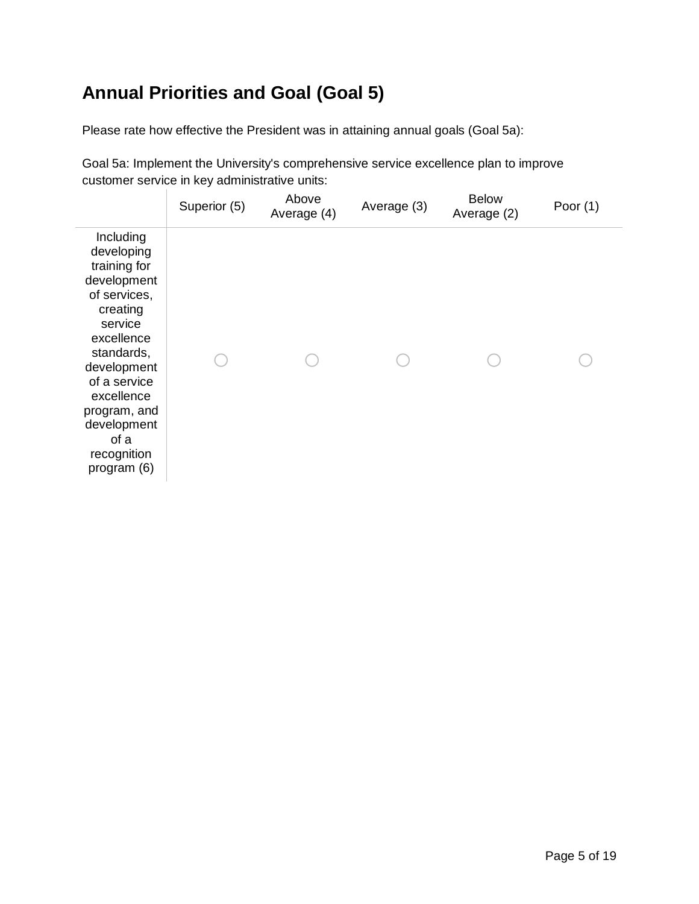#### **Annual Priorities and Goal (Goal 5)**

Please rate how effective the President was in attaining annual goals (Goal 5a):

Goal 5a: Implement the University's comprehensive service excellence plan to improve customer service in key administrative units:

|                                                                                                                                                                                                                                             | Superior (5) | Above<br>Average (4) | Average (3) | <b>Below</b><br>Average (2) | Poor $(1)$ |
|---------------------------------------------------------------------------------------------------------------------------------------------------------------------------------------------------------------------------------------------|--------------|----------------------|-------------|-----------------------------|------------|
| Including<br>developing<br>training for<br>development<br>of services,<br>creating<br>service<br>excellence<br>standards,<br>development<br>of a service<br>excellence<br>program, and<br>development<br>of a<br>recognition<br>program (6) |              |                      |             |                             |            |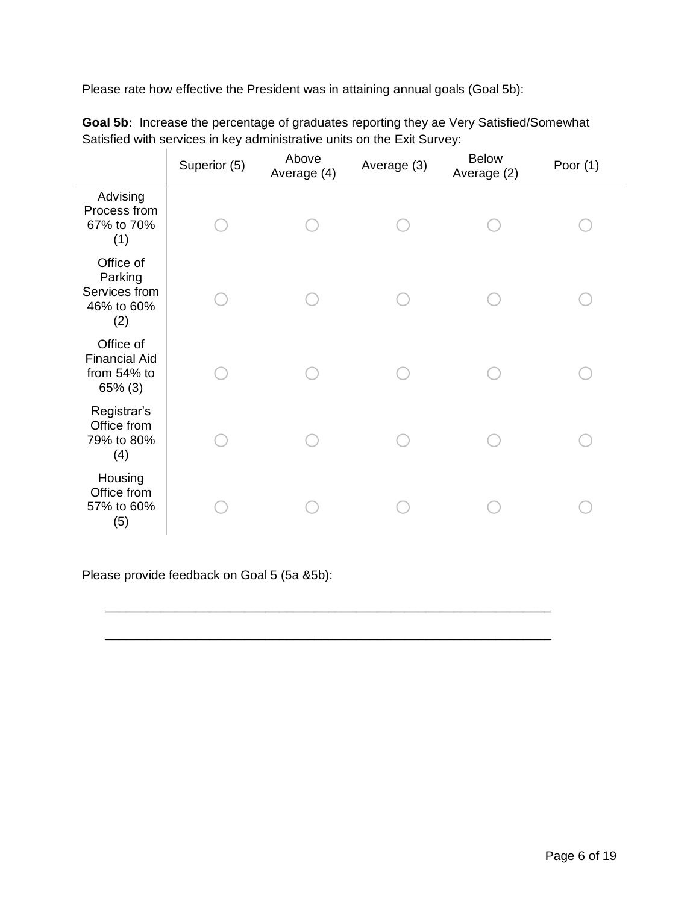Please rate how effective the President was in attaining annual goals (Goal 5b):

|                                                                | Superior (5) | Above<br>Average (4) | Average (3) | <b>Below</b><br>Average (2) | Poor $(1)$ |
|----------------------------------------------------------------|--------------|----------------------|-------------|-----------------------------|------------|
| Advising<br>Process from<br>67% to 70%<br>(1)                  |              |                      |             |                             |            |
| Office of<br>Parking<br>Services from<br>46% to 60%<br>(2)     |              |                      |             |                             |            |
| Office of<br><b>Financial Aid</b><br>from 54% to<br>$65\%$ (3) |              |                      |             |                             |            |
| Registrar's<br>Office from<br>79% to 80%<br>(4)                |              |                      |             |                             |            |
| Housing<br>Office from<br>57% to 60%<br>(5)                    |              |                      |             |                             |            |

\_\_\_\_\_\_\_\_\_\_\_\_\_\_\_\_\_\_\_\_\_\_\_\_\_\_\_\_\_\_\_\_\_\_\_\_\_\_\_\_\_\_\_\_\_\_\_\_\_\_\_\_\_\_\_\_\_\_\_\_\_\_\_\_

\_\_\_\_\_\_\_\_\_\_\_\_\_\_\_\_\_\_\_\_\_\_\_\_\_\_\_\_\_\_\_\_\_\_\_\_\_\_\_\_\_\_\_\_\_\_\_\_\_\_\_\_\_\_\_\_\_\_\_\_\_\_\_\_

**Goal 5b:** Increase the percentage of graduates reporting they ae Very Satisfied/Somewhat Satisfied with services in key administrative units on the Exit Survey:

Please provide feedback on Goal 5 (5a &5b):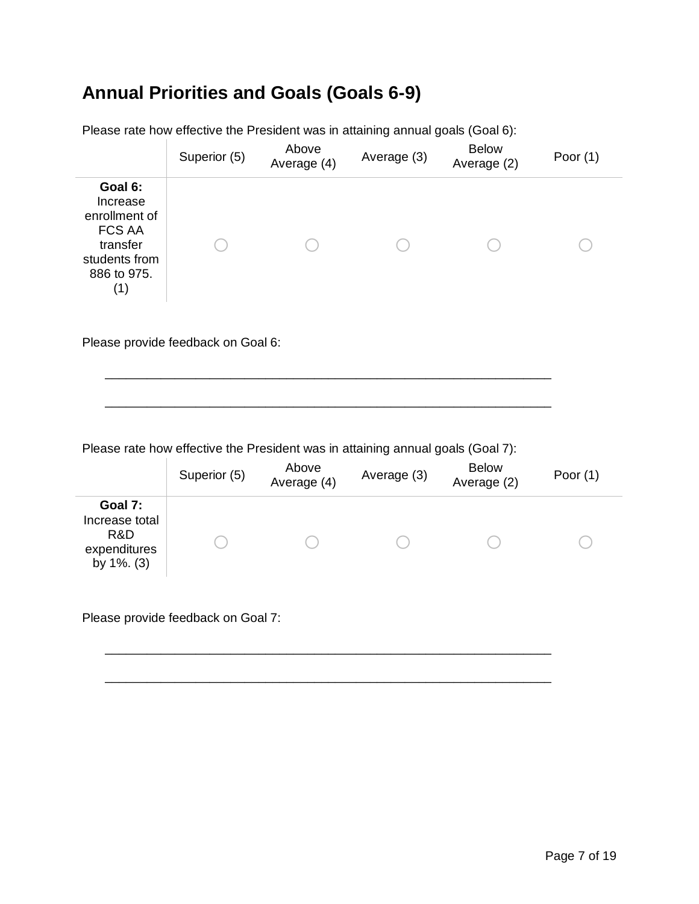#### **Annual Priorities and Goals (Goals 6-9)**

|                                                                                                          | Superior (5) | Above<br>Average (4) | Average (3) | <b>Below</b><br>Average (2) | Poor $(1)$ |
|----------------------------------------------------------------------------------------------------------|--------------|----------------------|-------------|-----------------------------|------------|
| Goal 6:<br>Increase<br>enrollment of<br><b>FCS AA</b><br>transfer<br>students from<br>886 to 975.<br>(1) |              |                      |             |                             |            |

Please rate how effective the President was in attaining annual goals (Goal 6):

Please provide feedback on Goal 6:

Please rate how effective the President was in attaining annual goals (Goal 7):

\_\_\_\_\_\_\_\_\_\_\_\_\_\_\_\_\_\_\_\_\_\_\_\_\_\_\_\_\_\_\_\_\_\_\_\_\_\_\_\_\_\_\_\_\_\_\_\_\_\_\_\_\_\_\_\_\_\_\_\_\_\_\_\_

\_\_\_\_\_\_\_\_\_\_\_\_\_\_\_\_\_\_\_\_\_\_\_\_\_\_\_\_\_\_\_\_\_\_\_\_\_\_\_\_\_\_\_\_\_\_\_\_\_\_\_\_\_\_\_\_\_\_\_\_\_\_\_\_

|                                                                    | Superior (5) | Above<br>Average (4) | Average (3) | <b>Below</b><br>Average (2) | Poor $(1)$ |
|--------------------------------------------------------------------|--------------|----------------------|-------------|-----------------------------|------------|
| Goal 7:<br>Increase total<br>R&D<br>expenditures<br>by $1\%$ . (3) |              |                      |             |                             |            |

\_\_\_\_\_\_\_\_\_\_\_\_\_\_\_\_\_\_\_\_\_\_\_\_\_\_\_\_\_\_\_\_\_\_\_\_\_\_\_\_\_\_\_\_\_\_\_\_\_\_\_\_\_\_\_\_\_\_\_\_\_\_\_\_

\_\_\_\_\_\_\_\_\_\_\_\_\_\_\_\_\_\_\_\_\_\_\_\_\_\_\_\_\_\_\_\_\_\_\_\_\_\_\_\_\_\_\_\_\_\_\_\_\_\_\_\_\_\_\_\_\_\_\_\_\_\_\_\_

Please provide feedback on Goal 7: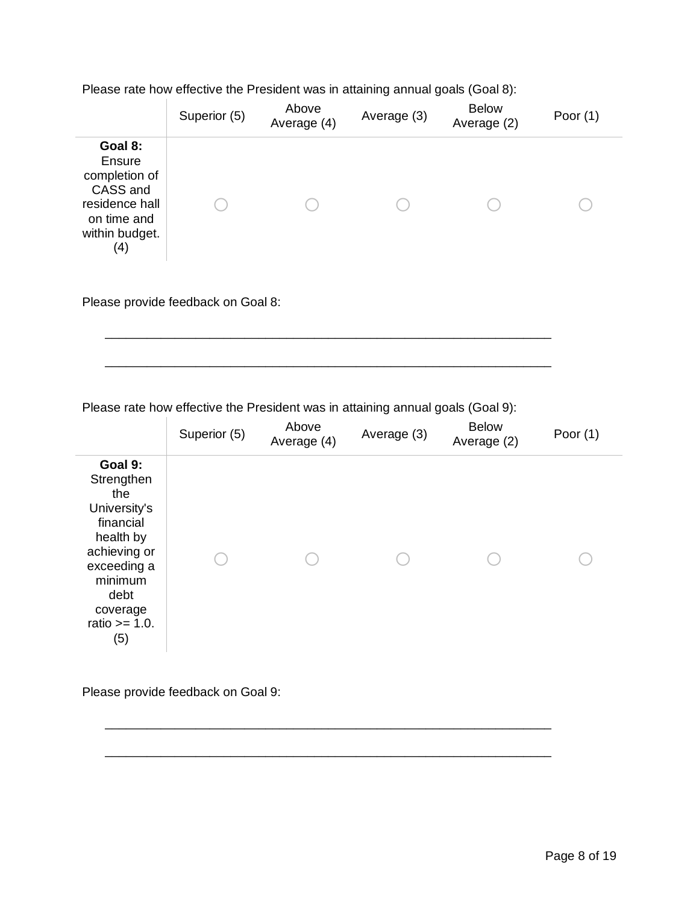Please rate how effective the President was in attaining annual goals (Goal 8):

|                                                                                                          | Superior (5) | Above<br>Average (4) | Average (3) | <b>Below</b><br>Average (2) | Poor $(1)$ |
|----------------------------------------------------------------------------------------------------------|--------------|----------------------|-------------|-----------------------------|------------|
| Goal 8:<br>Ensure<br>completion of<br>CASS and<br>residence hall<br>on time and<br>within budget.<br>(4) |              |                      |             |                             |            |

Please provide feedback on Goal 8:

Please rate how effective the President was in attaining annual goals (Goal 9):

\_\_\_\_\_\_\_\_\_\_\_\_\_\_\_\_\_\_\_\_\_\_\_\_\_\_\_\_\_\_\_\_\_\_\_\_\_\_\_\_\_\_\_\_\_\_\_\_\_\_\_\_\_\_\_\_\_\_\_\_\_\_\_\_

\_\_\_\_\_\_\_\_\_\_\_\_\_\_\_\_\_\_\_\_\_\_\_\_\_\_\_\_\_\_\_\_\_\_\_\_\_\_\_\_\_\_\_\_\_\_\_\_\_\_\_\_\_\_\_\_\_\_\_\_\_\_\_\_

|                                                                                                                                                                 | Superior (5) | Above<br>Average (4) | Average (3) | <b>Below</b><br>Average (2) | Poor $(1)$ |
|-----------------------------------------------------------------------------------------------------------------------------------------------------------------|--------------|----------------------|-------------|-----------------------------|------------|
| Goal 9:<br>Strengthen<br>the<br>University's<br>financial<br>health by<br>achieving or<br>exceeding a<br>minimum<br>debt<br>coverage<br>ratio $>= 1.0$ .<br>(5) |              |                      |             |                             |            |

\_\_\_\_\_\_\_\_\_\_\_\_\_\_\_\_\_\_\_\_\_\_\_\_\_\_\_\_\_\_\_\_\_\_\_\_\_\_\_\_\_\_\_\_\_\_\_\_\_\_\_\_\_\_\_\_\_\_\_\_\_\_\_\_

\_\_\_\_\_\_\_\_\_\_\_\_\_\_\_\_\_\_\_\_\_\_\_\_\_\_\_\_\_\_\_\_\_\_\_\_\_\_\_\_\_\_\_\_\_\_\_\_\_\_\_\_\_\_\_\_\_\_\_\_\_\_\_\_

Please provide feedback on Goal 9: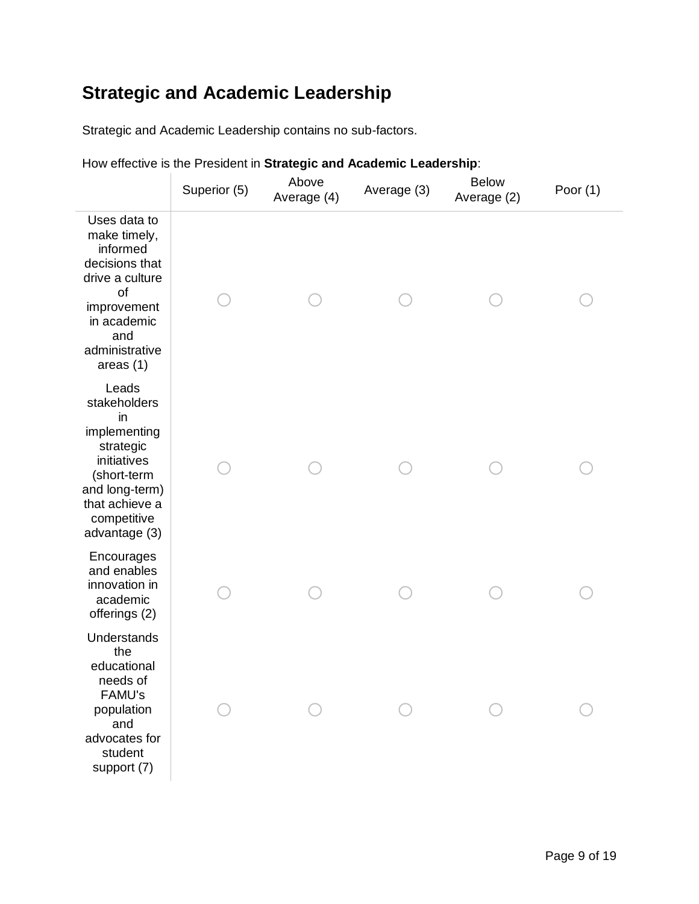#### **Strategic and Academic Leadership**

Strategic and Academic Leadership contains no sub-factors.

|                                                                                                                                                            | Superior (5) | Above<br>Average (4) | Average (3) | <b>Below</b><br>Average (2) | Poor $(1)$ |
|------------------------------------------------------------------------------------------------------------------------------------------------------------|--------------|----------------------|-------------|-----------------------------|------------|
| Uses data to<br>make timely,<br>informed<br>decisions that<br>drive a culture<br>of<br>improvement<br>in academic<br>and<br>administrative<br>areas $(1)$  |              |                      |             |                             |            |
| Leads<br>stakeholders<br>in<br>implementing<br>strategic<br>initiatives<br>(short-term<br>and long-term)<br>that achieve a<br>competitive<br>advantage (3) |              |                      |             |                             |            |
| Encourages<br>and enables<br>innovation in<br>academic<br>offerings (2)                                                                                    |              |                      |             |                             |            |
| Understands<br>the<br>educational<br>needs of<br><b>FAMU's</b><br>population<br>and<br>advocates for<br>student<br>support (7)                             |              |                      |             |                             |            |

How effective is the President in **Strategic and Academic Leadership**: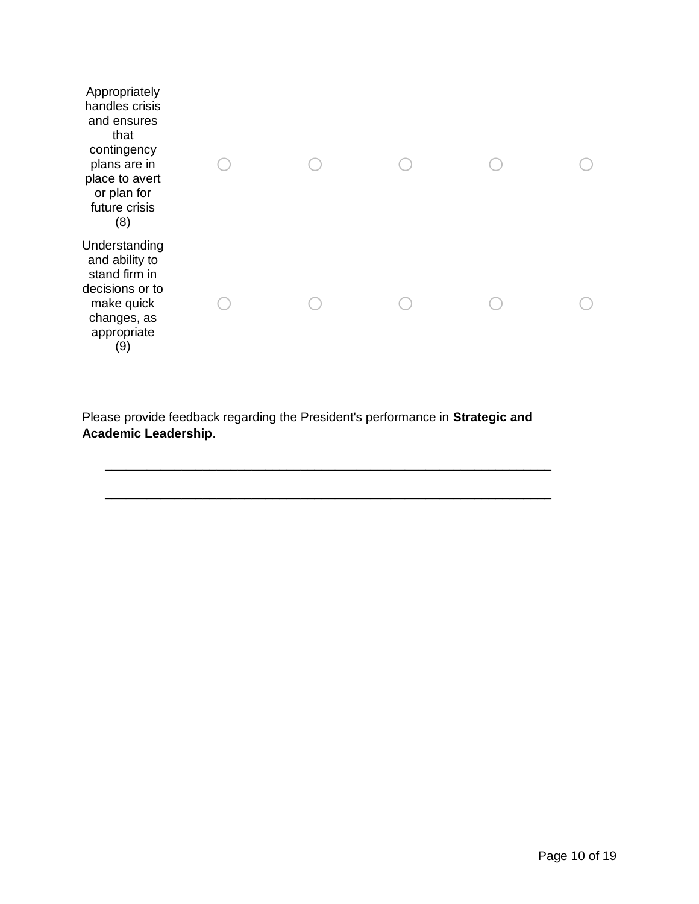| Appropriately<br>handles crisis<br>and ensures<br>that<br>contingency<br>plans are in<br>place to avert<br>or plan for<br>future crisis<br>(8) |  |  |  |
|------------------------------------------------------------------------------------------------------------------------------------------------|--|--|--|
| Understanding<br>and ability to<br>stand firm in<br>decisions or to<br>make quick<br>changes, as<br>appropriate<br>(9)                         |  |  |  |

Please provide feedback regarding the President's performance in **Strategic and Academic Leadership**.

\_\_\_\_\_\_\_\_\_\_\_\_\_\_\_\_\_\_\_\_\_\_\_\_\_\_\_\_\_\_\_\_\_\_\_\_\_\_\_\_\_\_\_\_\_\_\_\_\_\_\_\_\_\_\_\_\_\_\_\_\_\_\_\_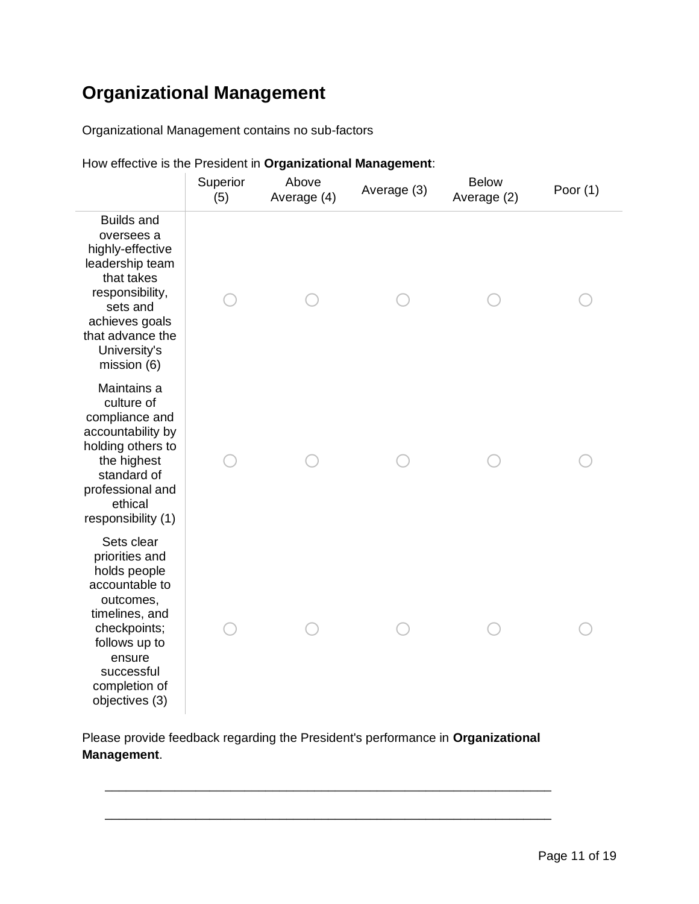#### **Organizational Management**

Organizational Management contains no sub-factors

|                                                                                                                                                                                           | Superior<br>(5) | Above<br>Average (4) | Average (3) | <b>Below</b><br>Average (2) | Poor $(1)$ |
|-------------------------------------------------------------------------------------------------------------------------------------------------------------------------------------------|-----------------|----------------------|-------------|-----------------------------|------------|
| <b>Builds and</b><br>oversees a<br>highly-effective<br>leadership team<br>that takes<br>responsibility,<br>sets and<br>achieves goals<br>that advance the<br>University's<br>mission (6)  |                 |                      |             |                             |            |
| Maintains a<br>culture of<br>compliance and<br>accountability by<br>holding others to<br>the highest<br>standard of<br>professional and<br>ethical<br>responsibility (1)                  |                 |                      |             |                             |            |
| Sets clear<br>priorities and<br>holds people<br>accountable to<br>outcomes,<br>timelines, and<br>checkpoints;<br>follows up to<br>ensure<br>successful<br>completion of<br>objectives (3) |                 |                      |             |                             |            |

How effective is the President in **Organizational Management**:

Please provide feedback regarding the President's performance in **Organizational Management**.

\_\_\_\_\_\_\_\_\_\_\_\_\_\_\_\_\_\_\_\_\_\_\_\_\_\_\_\_\_\_\_\_\_\_\_\_\_\_\_\_\_\_\_\_\_\_\_\_\_\_\_\_\_\_\_\_\_\_\_\_\_\_\_\_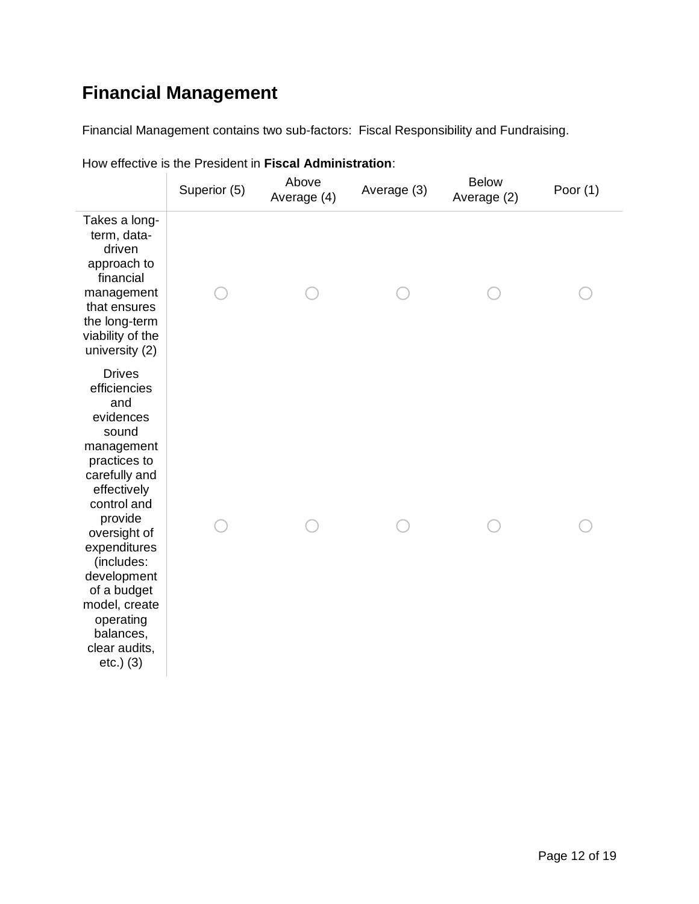## **Financial Management**

Financial Management contains two sub-factors: Fiscal Responsibility and Fundraising.

|                                                                                                                                                                                                                                                                                                              | Superior (5) | Above<br>Average (4) | Average (3) | <b>Below</b><br>Average (2) | Poor $(1)$ |
|--------------------------------------------------------------------------------------------------------------------------------------------------------------------------------------------------------------------------------------------------------------------------------------------------------------|--------------|----------------------|-------------|-----------------------------|------------|
| Takes a long-<br>term, data-<br>driven<br>approach to<br>financial<br>management<br>that ensures<br>the long-term<br>viability of the<br>university (2)                                                                                                                                                      |              |                      |             |                             |            |
| <b>Drives</b><br>efficiencies<br>and<br>evidences<br>sound<br>management<br>practices to<br>carefully and<br>effectively<br>control and<br>provide<br>oversight of<br>expenditures<br>(includes:<br>development<br>of a budget<br>model, create<br>operating<br>balances,<br>clear audits,<br>$etc.$ ) $(3)$ |              |                      |             |                             |            |

How effective is the President in **Fiscal Administration**: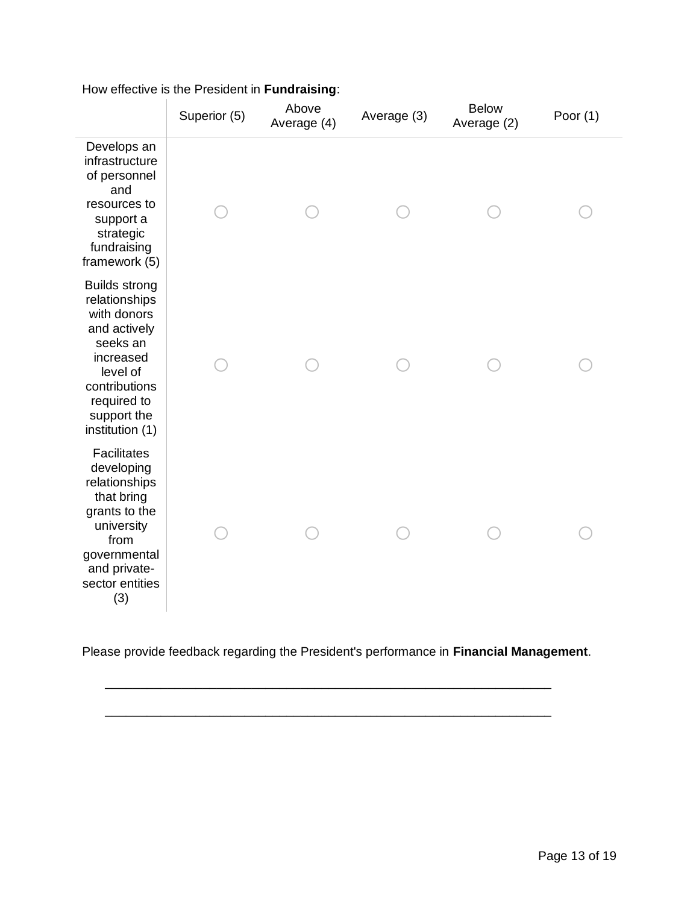|                                                                                                                                                                             | Superior (5) | Above<br>Average (4) | Average (3) | <b>Below</b><br>Average (2) | Poor $(1)$ |
|-----------------------------------------------------------------------------------------------------------------------------------------------------------------------------|--------------|----------------------|-------------|-----------------------------|------------|
| Develops an<br>infrastructure<br>of personnel<br>and<br>resources to<br>support a<br>strategic<br>fundraising<br>framework (5)                                              |              |                      |             |                             |            |
| <b>Builds strong</b><br>relationships<br>with donors<br>and actively<br>seeks an<br>increased<br>level of<br>contributions<br>required to<br>support the<br>institution (1) |              |                      |             |                             |            |
| <b>Facilitates</b><br>developing<br>relationships<br>that bring<br>grants to the<br>university<br>from<br>governmental<br>and private-<br>sector entities<br>(3)            |              |                      |             |                             |            |

#### How effective is the President in **Fundraising**:

Please provide feedback regarding the President's performance in **Financial Management**.

\_\_\_\_\_\_\_\_\_\_\_\_\_\_\_\_\_\_\_\_\_\_\_\_\_\_\_\_\_\_\_\_\_\_\_\_\_\_\_\_\_\_\_\_\_\_\_\_\_\_\_\_\_\_\_\_\_\_\_\_\_\_\_\_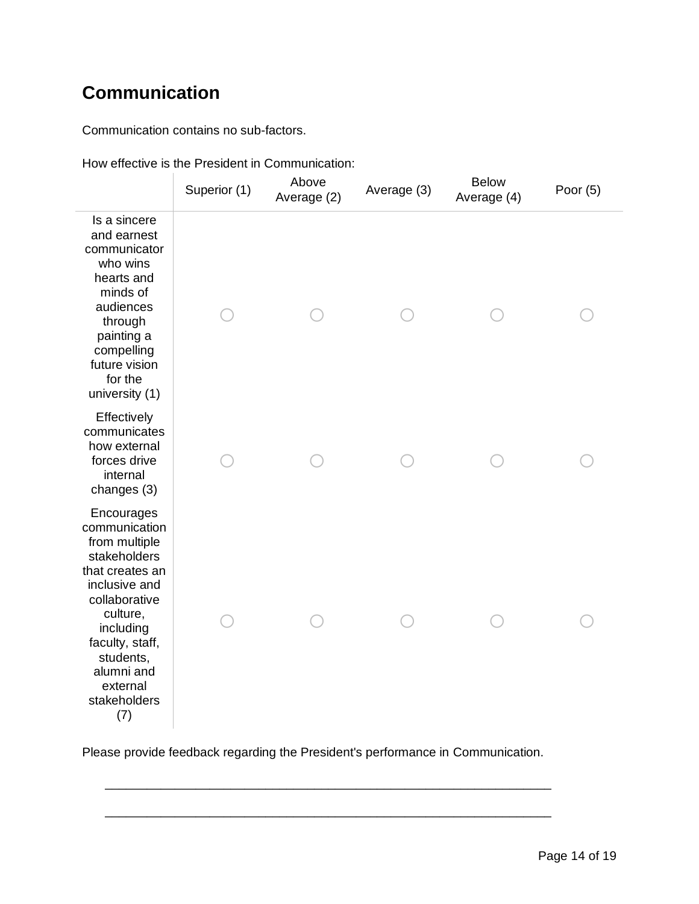#### **Communication**

Communication contains no sub-factors.

|                                                                                                                                                                                                                             | Superior (1) | Above<br>Average (2) | Average (3) | <b>Below</b><br>Average (4) | Poor $(5)$ |
|-----------------------------------------------------------------------------------------------------------------------------------------------------------------------------------------------------------------------------|--------------|----------------------|-------------|-----------------------------|------------|
| Is a sincere<br>and earnest<br>communicator<br>who wins<br>hearts and<br>minds of<br>audiences<br>through<br>painting a<br>compelling<br>future vision<br>for the<br>university (1)                                         |              |                      |             |                             |            |
| Effectively<br>communicates<br>how external<br>forces drive<br>internal<br>changes (3)                                                                                                                                      |              |                      |             |                             |            |
| Encourages<br>communication<br>from multiple<br>stakeholders<br>that creates an<br>inclusive and<br>collaborative<br>culture,<br>including<br>faculty, staff,<br>students,<br>alumni and<br>external<br>stakeholders<br>(7) |              |                      |             |                             |            |

How effective is the President in Communication:

Please provide feedback regarding the President's performance in Communication.

\_\_\_\_\_\_\_\_\_\_\_\_\_\_\_\_\_\_\_\_\_\_\_\_\_\_\_\_\_\_\_\_\_\_\_\_\_\_\_\_\_\_\_\_\_\_\_\_\_\_\_\_\_\_\_\_\_\_\_\_\_\_\_\_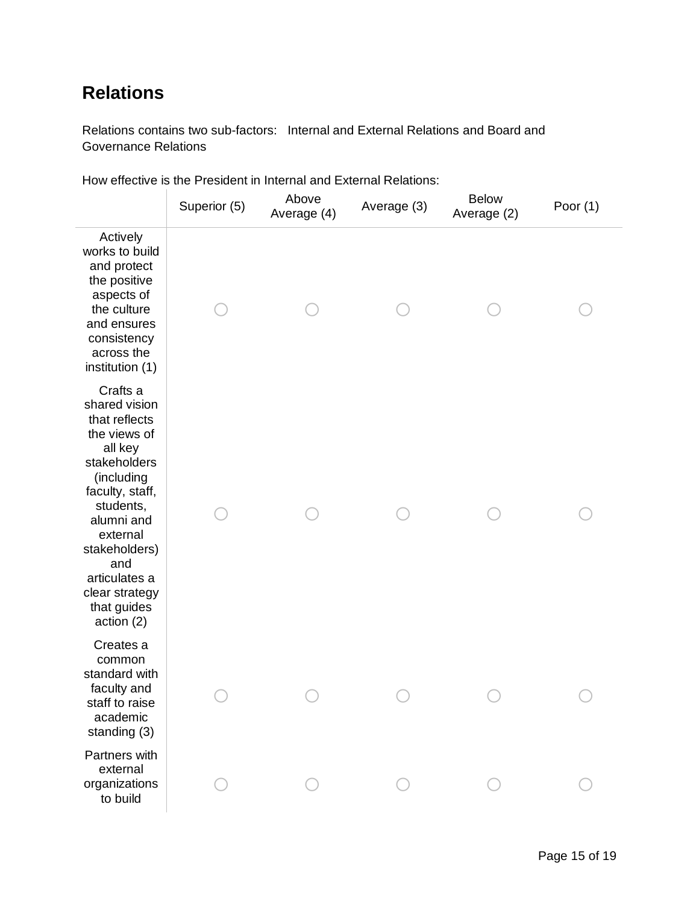#### **Relations**

Relations contains two sub-factors: Internal and External Relations and Board and Governance Relations

|                                                                                                                                                                                                                                                       | Superior (5) | Above<br>Average (4) | Average (3) | <b>Below</b><br>Average (2) | Poor $(1)$ |
|-------------------------------------------------------------------------------------------------------------------------------------------------------------------------------------------------------------------------------------------------------|--------------|----------------------|-------------|-----------------------------|------------|
| Actively<br>works to build<br>and protect<br>the positive<br>aspects of<br>the culture<br>and ensures<br>consistency<br>across the<br>institution (1)                                                                                                 |              |                      |             |                             |            |
| Crafts a<br>shared vision<br>that reflects<br>the views of<br>all key<br>stakeholders<br>(including<br>faculty, staff,<br>students,<br>alumni and<br>external<br>stakeholders)<br>and<br>articulates a<br>clear strategy<br>that guides<br>action (2) |              |                      |             |                             |            |
| Creates a<br>common<br>standard with<br>faculty and<br>staff to raise<br>academic<br>standing (3)                                                                                                                                                     |              |                      |             |                             |            |
| Partners with<br>external<br>organizations<br>to build                                                                                                                                                                                                |              |                      |             |                             |            |

How effective is the President in Internal and External Relations: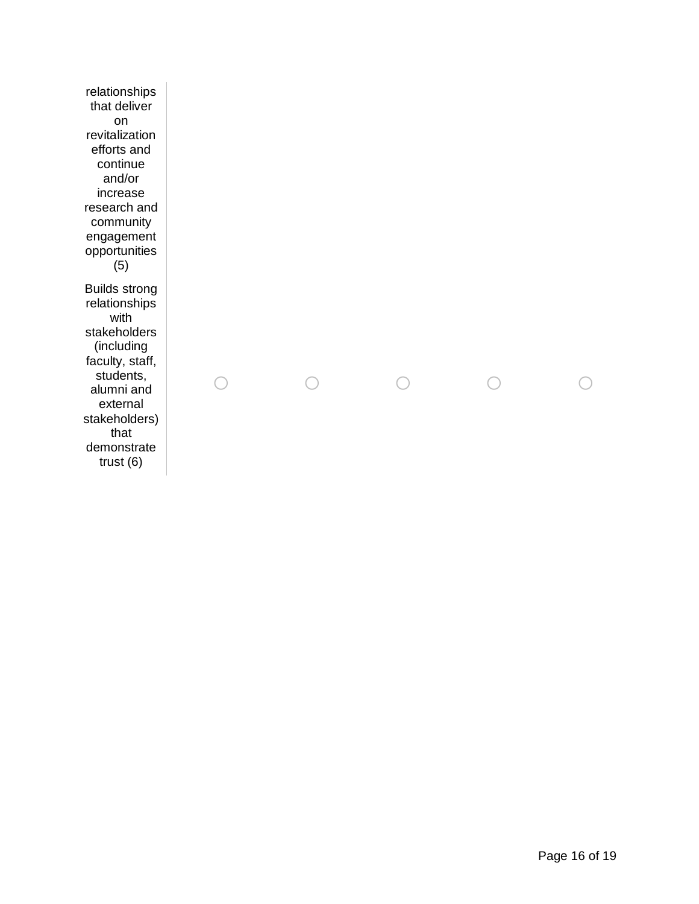relationships that deliver on revitalization efforts and continue and/or increase research and community engagement opportunities (5) Builds strong relationships with stakeholders (including faculty, staff, students, alumni and external stakeholders) that demonstrate trust (6)

Page 16 of 19

o o o o o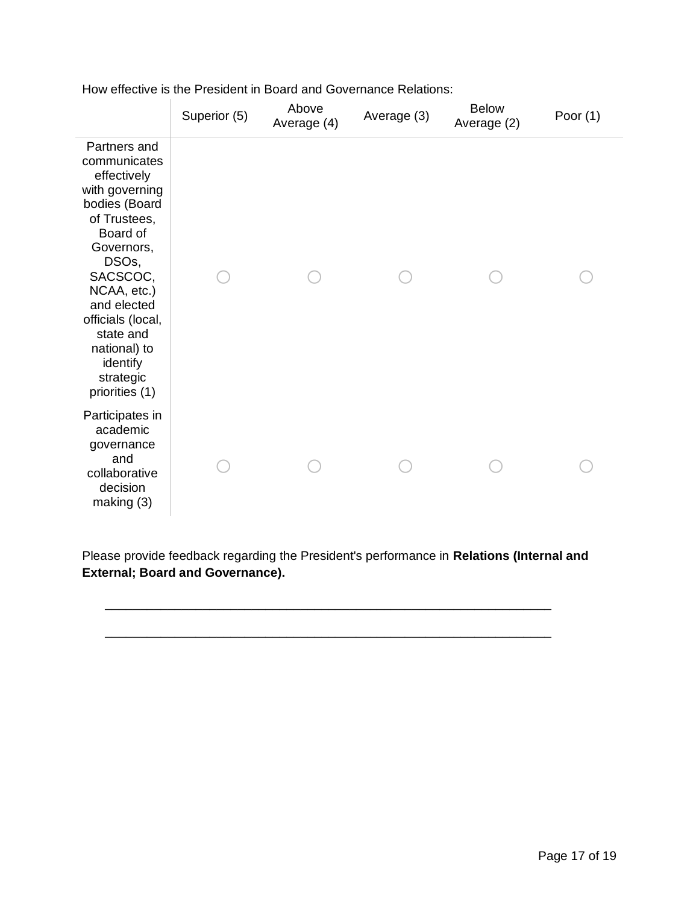|                                                                                                                                                                                                                                                                          | Superior (5) | Above<br>Average (4) | Average (3) | <b>Below</b><br>Average (2) | Poor $(1)$ |
|--------------------------------------------------------------------------------------------------------------------------------------------------------------------------------------------------------------------------------------------------------------------------|--------------|----------------------|-------------|-----------------------------|------------|
| Partners and<br>communicates<br>effectively<br>with governing<br>bodies (Board<br>of Trustees,<br>Board of<br>Governors,<br>DSOs,<br>SACSCOC,<br>NCAA, etc.)<br>and elected<br>officials (local,<br>state and<br>national) to<br>identify<br>strategic<br>priorities (1) |              |                      |             |                             |            |
| Participates in<br>academic<br>governance<br>and<br>collaborative<br>decision<br>making (3)                                                                                                                                                                              |              |                      |             |                             |            |

How effective is the President in Board and Governance Relations:

Please provide feedback regarding the President's performance in **Relations (Internal and External; Board and Governance).**

\_\_\_\_\_\_\_\_\_\_\_\_\_\_\_\_\_\_\_\_\_\_\_\_\_\_\_\_\_\_\_\_\_\_\_\_\_\_\_\_\_\_\_\_\_\_\_\_\_\_\_\_\_\_\_\_\_\_\_\_\_\_\_\_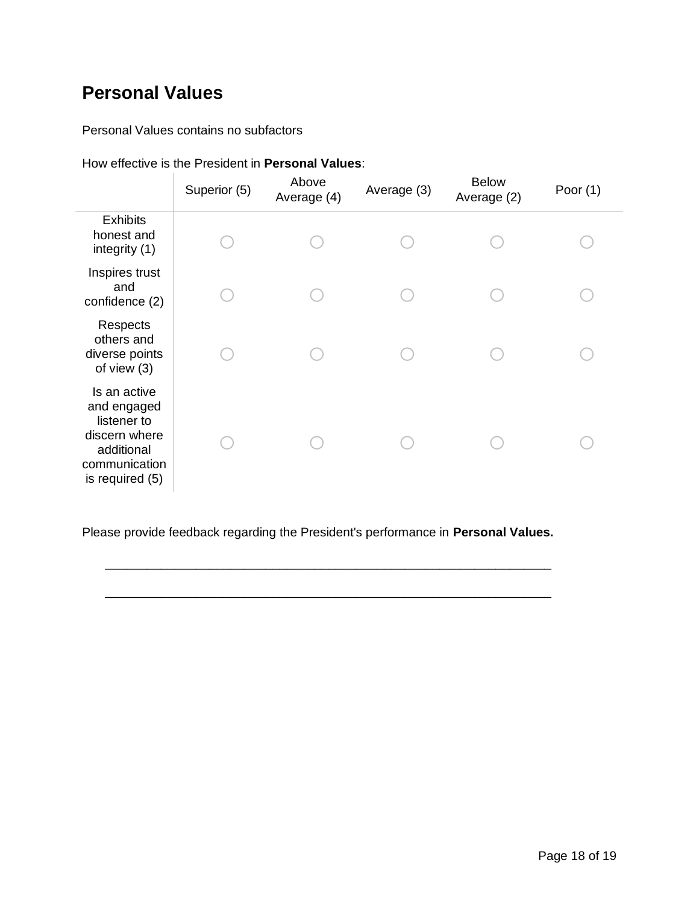#### **Personal Values**

Personal Values contains no subfactors

|  | How effective is the President in <b>Personal Values</b> : |  |
|--|------------------------------------------------------------|--|
|  |                                                            |  |

|                                                                                                               | Superior (5) | Above<br>Average (4) | Average (3) | <b>Below</b><br>Average (2) | Poor $(1)$ |
|---------------------------------------------------------------------------------------------------------------|--------------|----------------------|-------------|-----------------------------|------------|
| <b>Exhibits</b><br>honest and<br>integrity (1)                                                                |              |                      |             |                             |            |
| Inspires trust<br>and<br>confidence (2)                                                                       |              |                      |             |                             |            |
| Respects<br>others and<br>diverse points<br>of view $(3)$                                                     |              |                      |             |                             |            |
| Is an active<br>and engaged<br>listener to<br>discern where<br>additional<br>communication<br>is required (5) |              |                      |             |                             |            |

Please provide feedback regarding the President's performance in **Personal Values.**

\_\_\_\_\_\_\_\_\_\_\_\_\_\_\_\_\_\_\_\_\_\_\_\_\_\_\_\_\_\_\_\_\_\_\_\_\_\_\_\_\_\_\_\_\_\_\_\_\_\_\_\_\_\_\_\_\_\_\_\_\_\_\_\_